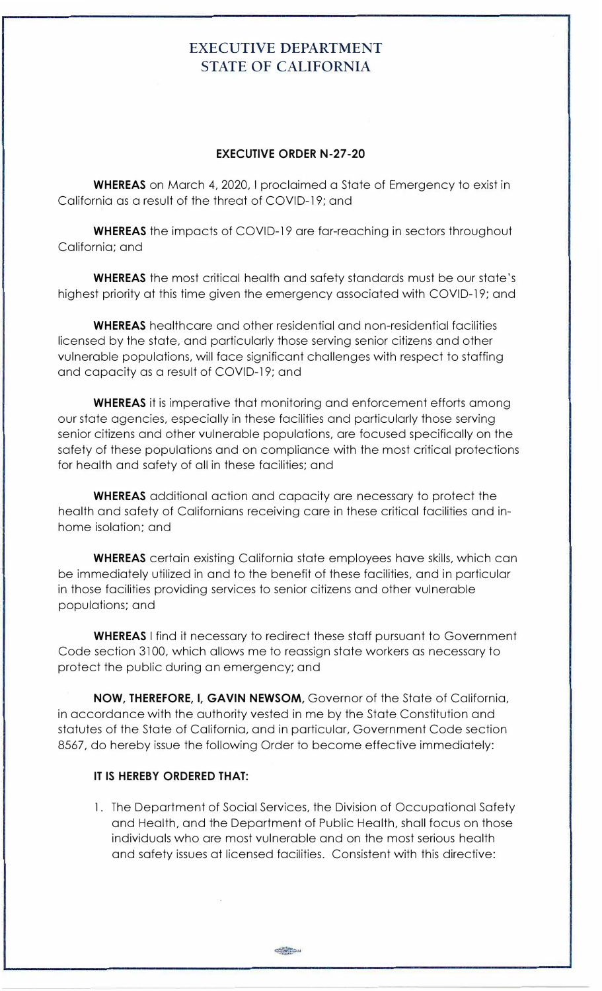## **EXECUTIVE DEPARTMENT STATE OF CALIFORNIA**

## **EXECUTIVE ORDER N-27-20**

**WHEREAS** on March 4, 2020, I proclaimed a State of Emergency to exist in California as a result of the threat of COVID-19; and

**WHEREAS** the impacts of COVID-19 are far-reaching in sectors throughout California; and

**WHEREAS** the most critical health and safety standards must be our state's highest priority at this time given the emergency associated with COVID-19; and

**WHEREAS** healthcare and other residential and non-residential facilities licensed by the state, and particularly those serving senior citizens and other vulnerable populations, will face significant challenges with respect to staffing and capacity as a result of COVID-19; and

**WHEREAS** it is imperative that monitoring and enforcement efforts among our state agencies, especially in these facilities and particularly those serving senior citizens and other vulnerable populations, are focused specifically on the safety of these populations and on compliance with the most critical protections for health and safety of all in these facilities; and

**WHEREAS** additional action and capacity are necessary to protect the health and safety of Californians receiving care in these critical facilities and inhome isolation; and

**WHEREAS** certain existing California state employees have skills, which can be immediately utilized in and to the benefit of these facilities, and in particular in those facilities providing services to senior citizens and other vulnerable populations; and

**WHEREAS** I find it necessary to redirect these staff pursuant to Government Code section 3100, which allows me to reassign state workers as necessary to protect the public during an emergency; and

**NOW, THEREFORE, I, GAVIN NEWSOM,** Governor of the State of California, in accordance with the authority vested in me by the State Constitution and statutes of the State of California, and in particular, Government Code section 8567, do hereby issue the following Order to become effective immediately:

## **IT IS HEREBY ORDERED THAT:**

1. The Department of Social Services, the Division of Occupational Safety and Health, and the Department of Public Health, shall focus on those individuals who are most vulnerable and on the most serious health and safety issues at licensed facilities. Consistent with this directive: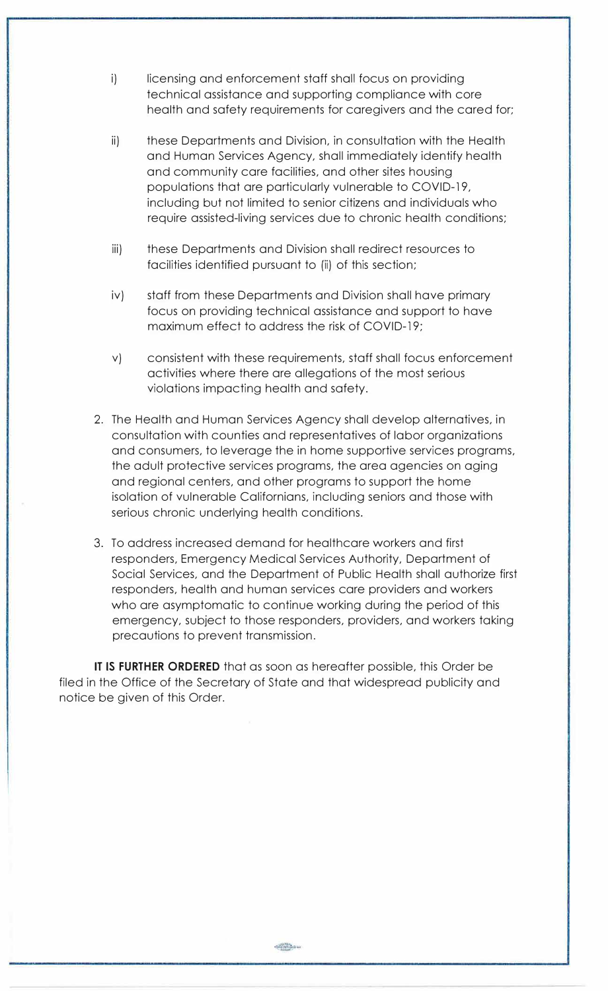- i) licensing and enforcement staff shall focus on providing technical assistance and supporting compliance with core health and safety requirements for caregivers and the cared for;
- ii) these Departments and Division, in consultation with the Health and Human Services Agency, shall immediately identify health and community care facilities, and other sites housing populations that are particularly vulnerable to COVID-19, including but not limited to senior citizens and individuals who require assisted-living services due to chronic health conditions;
- iii) these Departments and Division shall redirect resources to facilities identified pursuant to (ii) of this section;
- iv) staff from these Departments and Division shall have primary focus on providing technical assistance and support to have maximum effect to address the risk of COVID-19;
- v) consistent with these requirements, staff shall focus enforcement activities where there are allegations of the most serious violations impacting health and safety.
- 2. The Health and Human Services Agency shall develop alternatives, in consultation with counties and representatives of labor organizations and consumers, to leverage the in home supportive services programs, the adult protective services programs, the area agencies on aging and regional centers, and other programs to support the home isolation of vulnerable Californians, including seniors and those with serious chronic underlying health conditions.
- 3. To address increased demand for healthcare workers and first responders, Emergency Medical Services Authority, Department of Social Services, and the Department of Public Health shall authorize first responders, health and human services care providers and workers who are asymptomatic to continue working during the period of this emergency, subject to those responders, providers, and workers taking precautions to prevent transmission.

IT **IS FURTHER ORDERED** that as soon as hereafter possible, this Order be filed in the Office of the Secretary of State and that widespread publicity and notice be given of this Order.